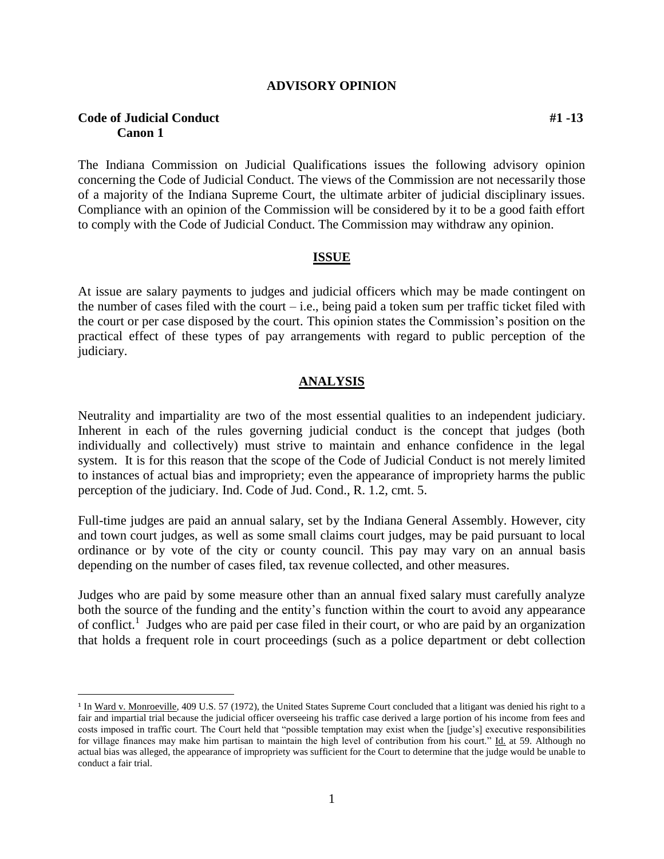#### **ADVISORY OPINION**

## **Code of Judicial Conduct #1 -13 Canon 1**

 $\overline{a}$ 

The Indiana Commission on Judicial Qualifications issues the following advisory opinion concerning the Code of Judicial Conduct. The views of the Commission are not necessarily those of a majority of the Indiana Supreme Court, the ultimate arbiter of judicial disciplinary issues. Compliance with an opinion of the Commission will be considered by it to be a good faith effort to comply with the Code of Judicial Conduct. The Commission may withdraw any opinion.

#### **ISSUE**

At issue are salary payments to judges and judicial officers which may be made contingent on the number of cases filed with the court – i.e., being paid a token sum per traffic ticket filed with the court or per case disposed by the court. This opinion states the Commission's position on the practical effect of these types of pay arrangements with regard to public perception of the judiciary.

### **ANALYSIS**

Neutrality and impartiality are two of the most essential qualities to an independent judiciary. Inherent in each of the rules governing judicial conduct is the concept that judges (both individually and collectively) must strive to maintain and enhance confidence in the legal system. It is for this reason that the scope of the Code of Judicial Conduct is not merely limited to instances of actual bias and impropriety; even the appearance of impropriety harms the public perception of the judiciary. Ind. Code of Jud. Cond., R. 1.2, cmt. 5.

Full-time judges are paid an annual salary, set by the Indiana General Assembly. However, city and town court judges, as well as some small claims court judges, may be paid pursuant to local ordinance or by vote of the city or county council. This pay may vary on an annual basis depending on the number of cases filed, tax revenue collected, and other measures.

Judges who are paid by some measure other than an annual fixed salary must carefully analyze both the source of the funding and the entity's function within the court to avoid any appearance of conflict.<sup>1</sup> Judges who are paid per case filed in their court, or who are paid by an organization that holds a frequent role in court proceedings (such as a police department or debt collection

<sup>&</sup>lt;sup>1</sup> In Ward v. Monroeville, 409 U.S. 57 (1972), the United States Supreme Court concluded that a litigant was denied his right to a fair and impartial trial because the judicial officer overseeing his traffic case derived a large portion of his income from fees and costs imposed in traffic court. The Court held that "possible temptation may exist when the [judge's] executive responsibilities for village finances may make him partisan to maintain the high level of contribution from his court." Id. at 59. Although no actual bias was alleged, the appearance of impropriety was sufficient for the Court to determine that the judge would be unable to conduct a fair trial.